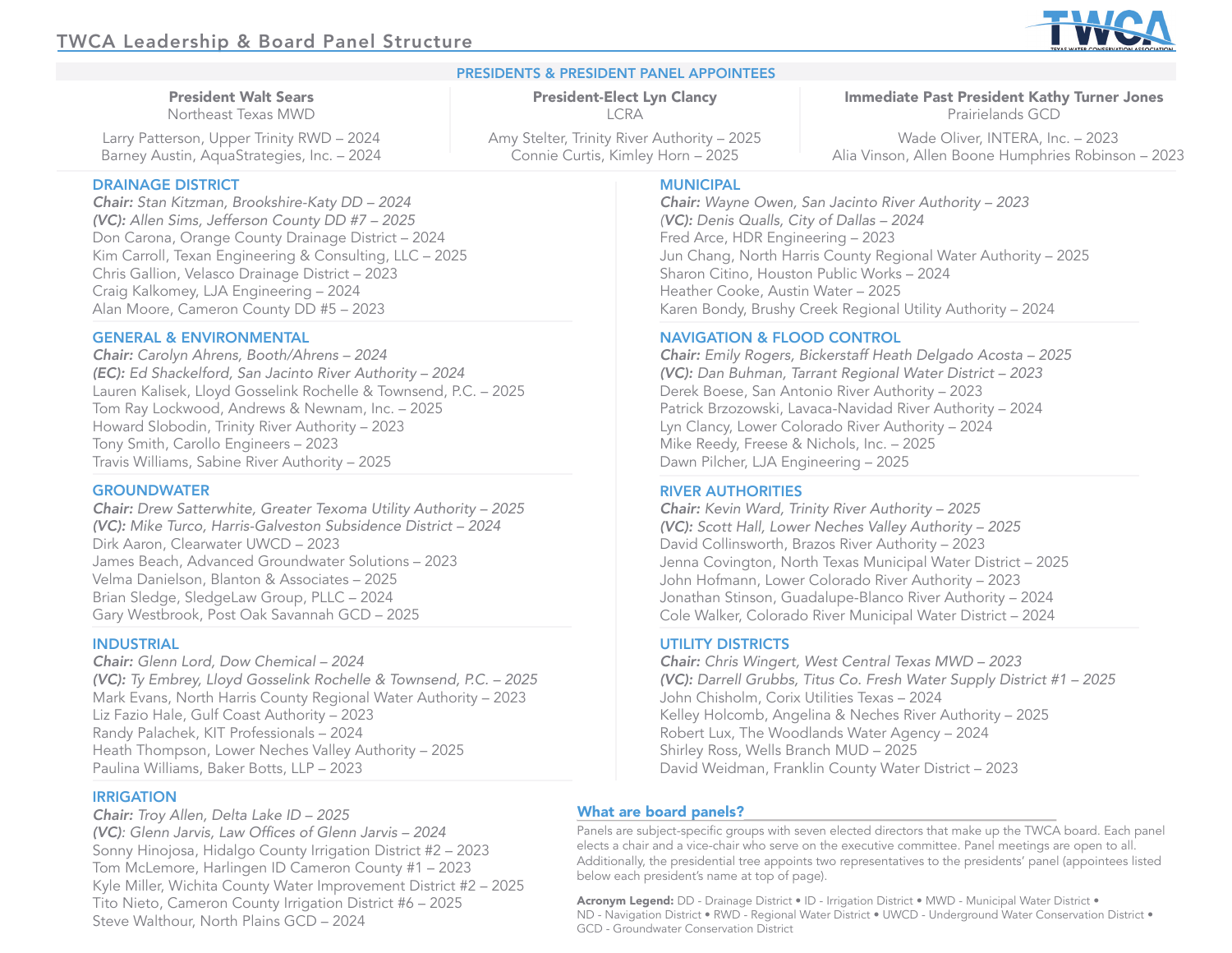President Walt Sears Northeast Texas MWD Larry Patterson, Upper Trinity RWD – 2024 Barney Austin, AquaStrategies, Inc. – 2024

# PRESIDENTS & PRESIDENT PANEL APPOINTEES

President-Elect Lyn Clancy LCRA

Amy Stelter, Trinity River Authority – 2025 Connie Curtis, Kimley Horn – 2025

DRAINAGE DISTRICT

*Chair: Stan Kitzman, Brookshire-Katy DD – 2024 (VC): Allen Sims, Jefferson County DD #7 – 2025* Don Carona, Orange County Drainage District – 2024 Kim Carroll, Texan Engineering & Consulting, LLC – 2025 Chris Gallion, Velasco Drainage District – 2023 Craig Kalkomey, LJA Engineering – 2024 Alan Moore, Cameron County DD #5 – 2023

## GENERAL & ENVIRONMENTAL

*Chair: Carolyn Ahrens, Booth/Ahrens – 2024 (EC): Ed Shackelford, San Jacinto River Authority – 2024*  Lauren Kalisek, Lloyd Gosselink Rochelle & Townsend, P.C. – 2025 Tom Ray Lockwood, Andrews & Newnam, Inc. – 2025 Howard Slobodin, Trinity River Authority – 2023 Tony Smith, Carollo Engineers – 2023 Travis Williams, Sabine River Authority – 2025

## **GROUNDWATER**

*Chair: Drew Satterwhite, Greater Texoma Utility Authority – 2025 (VC): Mike Turco, Harris-Galveston Subsidence District – 2024* Dirk Aaron, Clearwater UWCD – 2023 James Beach, Advanced Groundwater Solutions – 2023 Velma Danielson, Blanton & Associates – 2025 Brian Sledge, SledgeLaw Group, PLLC – 2024 Gary Westbrook, Post Oak Savannah GCD – 2025

#### INDUSTRIAL

*Chair: Glenn Lord, Dow Chemical – 2024 (VC): Ty Embrey, Lloyd Gosselink Rochelle & Townsend, P.C. – 2025* Mark Evans, North Harris County Regional Water Authority – 2023 Liz Fazio Hale, Gulf Coast Authority – 2023 Randy Palachek, KIT Professionals – 2024 Heath Thompson, Lower Neches Valley Authority – 2025 Paulina Williams, Baker Botts, LLP – 2023

#### IRRIGATION

*Chair: Troy Allen, Delta Lake ID – 2025 (VC)*: Glenn Jarvis, Law Offices of Glenn Jarvis - 2024 Sonny Hinojosa, Hidalgo County Irrigation District #2 – 2023 Tom McLemore, Harlingen ID Cameron County #1 – 2023 Kyle Miller, Wichita County Water Improvement District #2 – 2025 Tito Nieto, Cameron County Irrigation District #6 – 2025 Steve Walthour, North Plains GCD – 2024

## **MUNICIPAL**

*Chair: Wayne Owen, San Jacinto River Authority – 2023 (VC): Denis Qualls, City of Dallas – 2024* Fred Arce, HDR Engineering – 2023 Jun Chang, North Harris County Regional Water Authority – 2025 Sharon Citino, Houston Public Works – 2024 Heather Cooke, Austin Water – 2025 Karen Bondy, Brushy Creek Regional Utility Authority – 2024

#### NAVIGATION & FLOOD CONTROL

*Chair: Emily Rogers, Bickerstaff Heath Delgado Acosta – 2025 (VC): Dan Buhman, Tarrant Regional Water District – 2023* Derek Boese, San Antonio River Authority – 2023 Patrick Brzozowski, Lavaca-Navidad River Authority – 2024 Lyn Clancy, Lower Colorado River Authority – 2024 Mike Reedy, Freese & Nichols, Inc. – 2025 Dawn Pilcher, LJA Engineering – 2025

#### RIVER AUTHORITIES

*Chair: Kevin Ward, Trinity River Authority – 2025 (VC): Scott Hall, Lower Neches Valley Authority – 2025* David Collinsworth, Brazos River Authority – 2023 Jenna Covington, North Texas Municipal Water District – 2025 John Hofmann, Lower Colorado River Authority – 2023 Jonathan Stinson, Guadalupe-Blanco River Authority – 2024 Cole Walker, Colorado River Municipal Water District – 2024

#### UTILITY DISTRICTS

*Chair: Chris Wingert, West Central Texas MWD – 2023 (VC): Darrell Grubbs, Titus Co. Fresh Water Supply District #1 – 2025* John Chisholm, Corix Utilities Texas – 2024 Kelley Holcomb, Angelina & Neches River Authority – 2025 Robert Lux, The Woodlands Water Agency – 2024 Shirley Ross, Wells Branch MUD – 2025 David Weidman, Franklin County Water District – 2023

#### What are board panels?

Panels are subject-specific groups with seven elected directors that make up the TWCA board. Each panel elects a chair and a vice-chair who serve on the executive committee. Panel meetings are open to all. Additionally, the presidential tree appoints two representatives to the presidents' panel (appointees listed below each president's name at top of page).

Acronym Legend: DD - Drainage District • ID - Irrigation District • MWD - Municipal Water District • ND - Navigation District • RWD - Regional Water District • UWCD - Underground Water Conservation District • GCD - Groundwater Conservation District



Immediate Past President Kathy Turner Jones Prairielands GCD Wade Oliver, INTERA, Inc. – 2023 Alia Vinson, Allen Boone Humphries Robinson – 2023